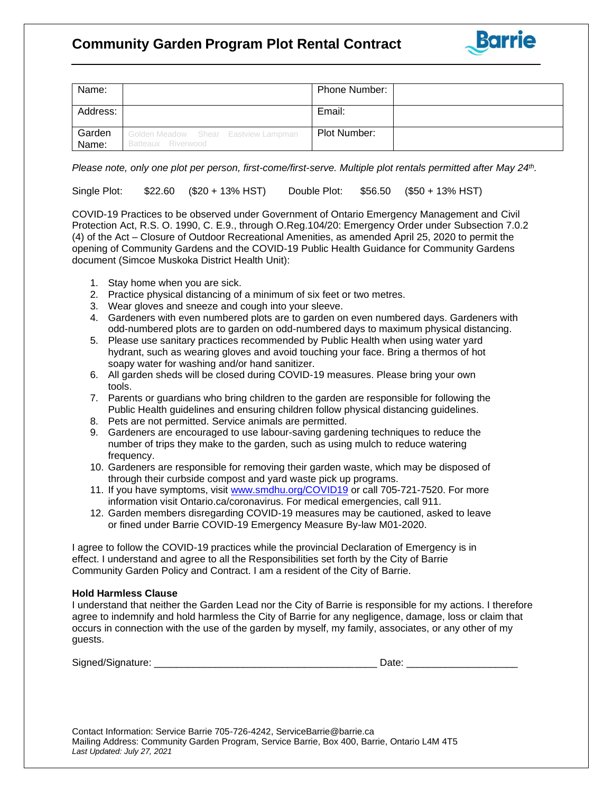## **Community Garden Program Plot Rental Contract**



| Name:           |                                                            | <b>Phone Number:</b> |  |
|-----------------|------------------------------------------------------------|----------------------|--|
| Address:        |                                                            | Email:               |  |
| Garden<br>Name: | Golden Meadow Shear Eastview Lampman<br>Batteaux Riverwood | Plot Number:         |  |

 $\overline{a}$ 

*Please note, only one plot per person, first-come/first-serve. Multiple plot rentals permitted after May 24th .*

Single Plot: \$22.60 (\$20 + 13% HST) Double Plot: \$56.50 (\$50 + 13% HST)

COVID-19 Practices to be observed under Government of Ontario Emergency Management and Civil Protection Act, R.S. O. 1990, C. E.9., through O.Reg.104/20: Emergency Order under Subsection 7.0.2 (4) of the Act – Closure of Outdoor Recreational Amenities, as amended April 25, 2020 to permit the opening of Community Gardens and the COVID-19 Public Health Guidance for Community Gardens document (Simcoe Muskoka District Health Unit):

- 1. Stay home when you are sick.
- 2. Practice physical distancing of a minimum of six feet or two metres.
- 3. Wear gloves and sneeze and cough into your sleeve.
- 4. Gardeners with even numbered plots are to garden on even numbered days. Gardeners with odd-numbered plots are to garden on odd-numbered days to maximum physical distancing.
- 5. Please use sanitary practices recommended by Public Health when using water yard hydrant, such as wearing gloves and avoid touching your face. Bring a thermos of hot soapy water for washing and/or hand sanitizer.
- 6. All garden sheds will be closed during COVID-19 measures. Please bring your own tools.
- 7. Parents or guardians who bring children to the garden are responsible for following the Public Health guidelines and ensuring children follow physical distancing guidelines.
- 8. Pets are not permitted. Service animals are permitted.
- 9. Gardeners are encouraged to use labour-saving gardening techniques to reduce the number of trips they make to the garden, such as using mulch to reduce watering frequency.
- 10. Gardeners are responsible for removing their garden waste, which may be disposed of through their curbside compost and yard waste pick up programs.
- 11. If you have symptoms, visit [www.smdhu.org/COVID19](http://www.smdhu.org/COVID19) or call 705-721-7520. For more information visit Ontario.ca/coronavirus. For medical emergencies, call 911*.*
- 12. Garden members disregarding COVID-19 measures may be cautioned, asked to leave or fined under Barrie COVID-19 Emergency Measure By-law M01-2020.

I agree to follow the COVID-19 practices while the provincial Declaration of Emergency is in effect. I understand and agree to all the Responsibilities set forth by the City of Barrie Community Garden Policy and Contract. I am a resident of the City of Barrie.

## **Hold Harmless Clause**

I understand that neither the Garden Lead nor the City of Barrie is responsible for my actions. I therefore agree to indemnify and hold harmless the City of Barrie for any negligence, damage, loss or claim that occurs in connection with the use of the garden by myself, my family, associates, or any other of my guests.

| Signed<br>- י<br>װי<br>₹17. |  |  |
|-----------------------------|--|--|
|                             |  |  |